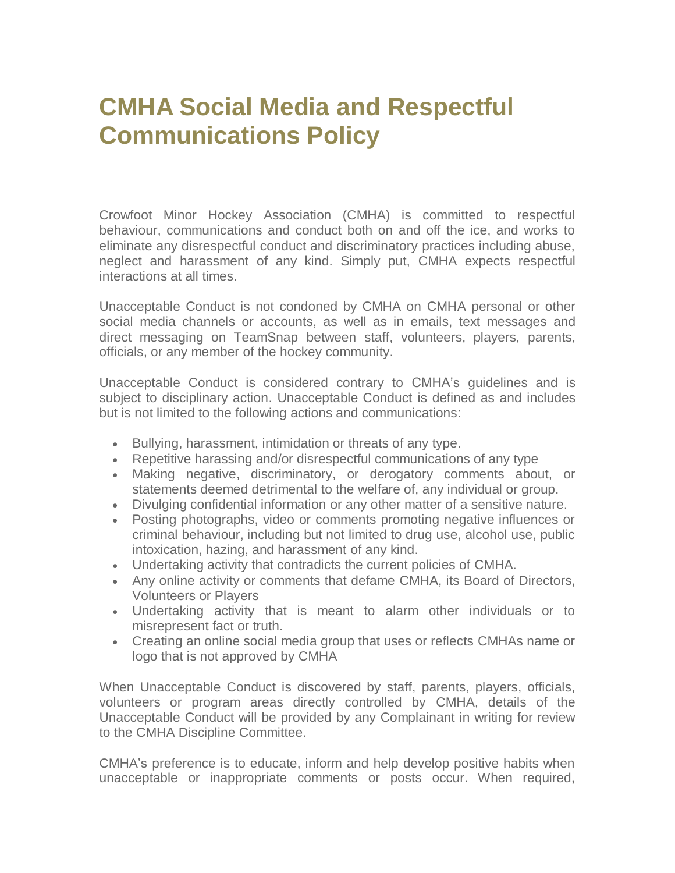# **CMHA Social Media and Respectful Communications Policy**

Crowfoot Minor Hockey Association (CMHA) is committed to respectful behaviour, communications and conduct both on and off the ice, and works to eliminate any disrespectful conduct and discriminatory practices including abuse, neglect and harassment of any kind. Simply put, CMHA expects respectful interactions at all times.

Unacceptable Conduct is not condoned by CMHA on CMHA personal or other social media channels or accounts, as well as in emails, text messages and direct messaging on TeamSnap between staff, volunteers, players, parents, officials, or any member of the hockey community.

Unacceptable Conduct is considered contrary to CMHA's guidelines and is subject to disciplinary action. Unacceptable Conduct is defined as and includes but is not limited to the following actions and communications:

- Bullying, harassment, intimidation or threats of any type.
- Repetitive harassing and/or disrespectful communications of any type
- Making negative, discriminatory, or derogatory comments about, or statements deemed detrimental to the welfare of, any individual or group.
- Divulging confidential information or any other matter of a sensitive nature.
- Posting photographs, video or comments promoting negative influences or criminal behaviour, including but not limited to drug use, alcohol use, public intoxication, hazing, and harassment of any kind.
- Undertaking activity that contradicts the current policies of CMHA.
- Any online activity or comments that defame CMHA, its Board of Directors, Volunteers or Players
- Undertaking activity that is meant to alarm other individuals or to misrepresent fact or truth.
- Creating an online social media group that uses or reflects CMHAs name or logo that is not approved by CMHA

When Unacceptable Conduct is discovered by staff, parents, players, officials, volunteers or program areas directly controlled by CMHA, details of the Unacceptable Conduct will be provided by any Complainant in writing for review to the CMHA Discipline Committee.

CMHA's preference is to educate, inform and help develop positive habits when unacceptable or inappropriate comments or posts occur. When required,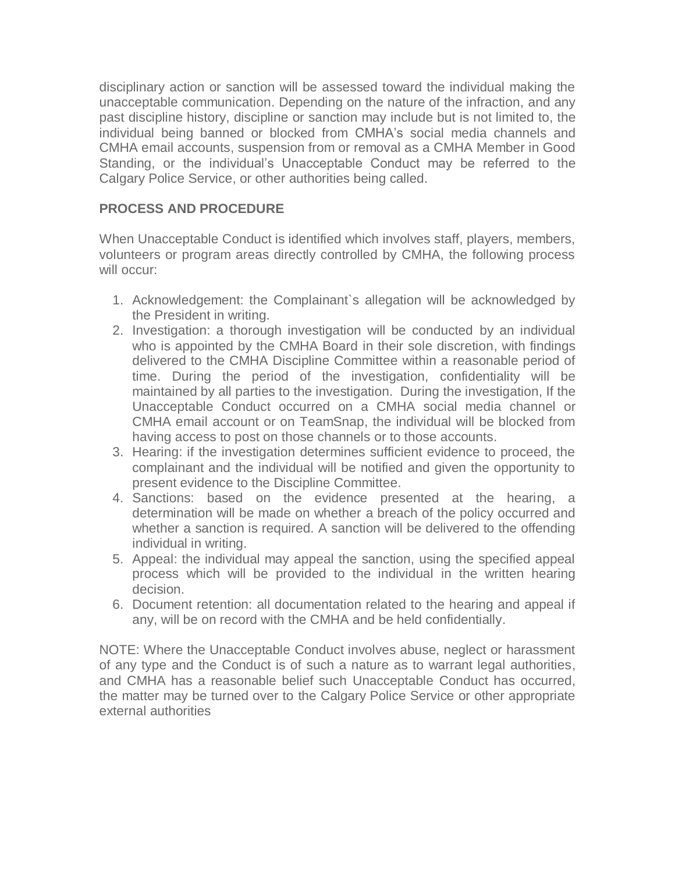disciplinary action or sanction will be assessed toward the individual making the unacceptable communication. Depending on the nature of the infraction, and any past discipline history, discipline or sanction may include but is not limited to, the individual being banned or blocked from CMHA's social media channels and CMHA email accounts, suspension from or removal as a CMHA Member in Good Standing, or the individual's Unacceptable Conduct may be referred to the Calgary Police Service, or other authorities being called.

# **PROCESS AND PROCEDURE**

When Unacceptable Conduct is identified which involves staff, players, members, volunteers or program areas directly controlled by CMHA, the following process will occur:

- 1. Acknowledgement: the Complainant`s allegation will be acknowledged by the President in writing.
- 2. Investigation: a thorough investigation will be conducted by an individual who is appointed by the CMHA Board in their sole discretion, with findings delivered to the CMHA Discipline Committee within a reasonable period of time. During the period of the investigation, confidentiality will be maintained by all parties to the investigation. During the investigation, If the Unacceptable Conduct occurred on a CMHA social media channel or CMHA email account or on TeamSnap, the individual will be blocked from having access to post on those channels or to those accounts.
- 3. Hearing: if the investigation determines sufficient evidence to proceed, the complainant and the individual will be notified and given the opportunity to present evidence to the Discipline Committee.
- 4. Sanctions: based on the evidence presented at the hearing, a determination will be made on whether a breach of the policy occurred and whether a sanction is required. A sanction will be delivered to the offending individual in writing.
- 5. Appeal: the individual may appeal the sanction, using the specified appeal process which will be provided to the individual in the written hearing decision.
- 6. Document retention: all documentation related to the hearing and appeal if any, will be on record with the CMHA and be held confidentially.

NOTE: Where the Unacceptable Conduct involves abuse, neglect or harassment of any type and the Conduct is of such a nature as to warrant legal authorities, and CMHA has a reasonable belief such Unacceptable Conduct has occurred, the matter may be turned over to the Calgary Police Service or other appropriate external authorities